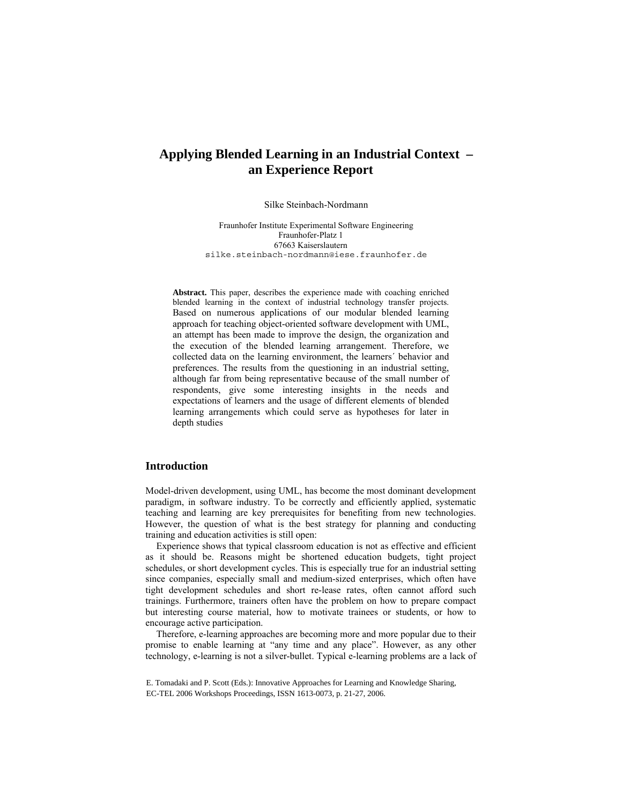# **Applying Blended Learning in an Industrial Context – an Experience Report**

Silke Steinbach-Nordmann

Fraunhofer Institute Experimental Software Engineering Fraunhofer-Platz 1 67663 Kaiserslautern silke.steinbach-nordmann@iese.fraunhofer.de

**Abstract.** This paper, describes the experience made with coaching enriched blended learning in the context of industrial technology transfer projects. Based on numerous applications of our modular blended learning approach for teaching object-oriented software development with UML, an attempt has been made to improve the design, the organization and the execution of the blended learning arrangement. Therefore, we collected data on the learning environment, the learners´ behavior and preferences. The results from the questioning in an industrial setting, although far from being representative because of the small number of respondents, give some interesting insights in the needs and expectations of learners and the usage of different elements of blended learning arrangements which could serve as hypotheses for later in depth studies

### **Introduction**

Model-driven development, using UML, has become the most dominant development paradigm, in software industry. To be correctly and efficiently applied, systematic teaching and learning are key prerequisites for benefiting from new technologies. However, the question of what is the best strategy for planning and conducting training and education activities is still open:

Experience shows that typical classroom education is not as effective and efficient as it should be. Reasons might be shortened education budgets, tight project schedules, or short development cycles. This is especially true for an industrial setting since companies, especially small and medium-sized enterprises, which often have tight development schedules and short re-lease rates, often cannot afford such trainings. Furthermore, trainers often have the problem on how to prepare compact but interesting course material, how to motivate trainees or students, or how to encourage active participation.

Therefore, e-learning approaches are becoming more and more popular due to their promise to enable learning at "any time and any place". However, as any other technology, e-learning is not a silver-bullet. Typical e-learning problems are a lack of

E. Tomadaki and P. Scott (Eds.): Innovative Approaches for Learning and Knowledge Sharing, EC-TEL 2006 Workshops Proceedings, ISSN 1613-0073, p. 21-27, 2006.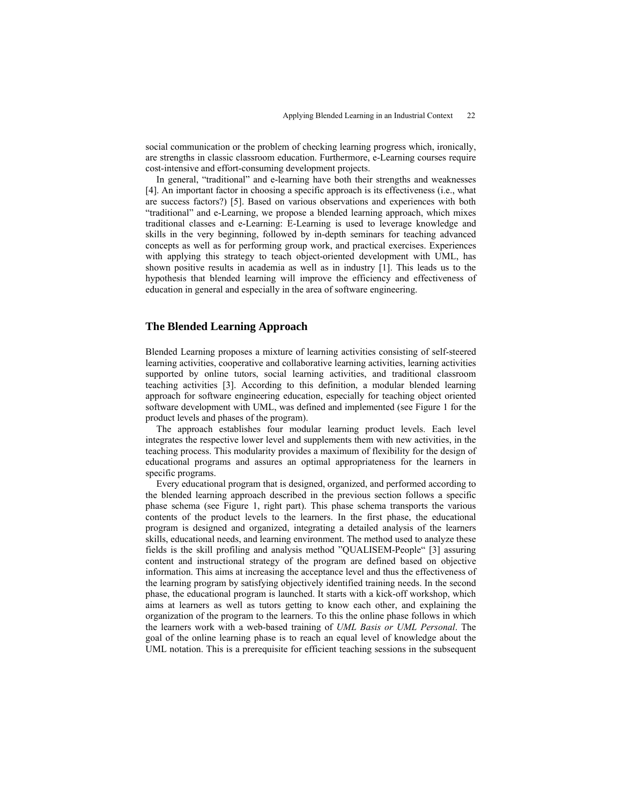social communication or the problem of checking learning progress which, ironically, are strengths in classic classroom education. Furthermore, e-Learning courses require cost-intensive and effort-consuming development projects.

In general, "traditional" and e-learning have both their strengths and weaknesses [4]. An important factor in choosing a specific approach is its effectiveness (i.e., what are success factors?) [5]. Based on various observations and experiences with both "traditional" and e-Learning, we propose a blended learning approach, which mixes traditional classes and e-Learning: E-Learning is used to leverage knowledge and skills in the very beginning, followed by in-depth seminars for teaching advanced concepts as well as for performing group work, and practical exercises. Experiences with applying this strategy to teach object-oriented development with UML, has shown positive results in academia as well as in industry [1]. This leads us to the hypothesis that blended learning will improve the efficiency and effectiveness of education in general and especially in the area of software engineering.

### **The Blended Learning Approach**

Blended Learning proposes a mixture of learning activities consisting of self-steered learning activities, cooperative and collaborative learning activities, learning activities supported by online tutors, social learning activities, and traditional classroom teaching activities [3]. According to this definition, a modular blended learning approach for software engineering education, especially for teaching object oriented software development with UML, was defined and implemented (see Figure 1 for the product levels and phases of the program).

The approach establishes four modular learning product levels. Each level integrates the respective lower level and supplements them with new activities, in the teaching process. This modularity provides a maximum of flexibility for the design of educational programs and assures an optimal appropriateness for the learners in specific programs.

Every educational program that is designed, organized, and performed according to the blended learning approach described in the previous section follows a specific phase schema (see Figure 1, right part). This phase schema transports the various contents of the product levels to the learners. In the first phase, the educational program is designed and organized, integrating a detailed analysis of the learners skills, educational needs, and learning environment. The method used to analyze these fields is the skill profiling and analysis method "QUALISEM-People" [3] assuring content and instructional strategy of the program are defined based on objective information. This aims at increasing the acceptance level and thus the effectiveness of the learning program by satisfying objectively identified training needs. In the second phase, the educational program is launched. It starts with a kick-off workshop, which aims at learners as well as tutors getting to know each other, and explaining the organization of the program to the learners. To this the online phase follows in which the learners work with a web-based training of *UML Basis or UML Personal*. The goal of the online learning phase is to reach an equal level of knowledge about the UML notation. This is a prerequisite for efficient teaching sessions in the subsequent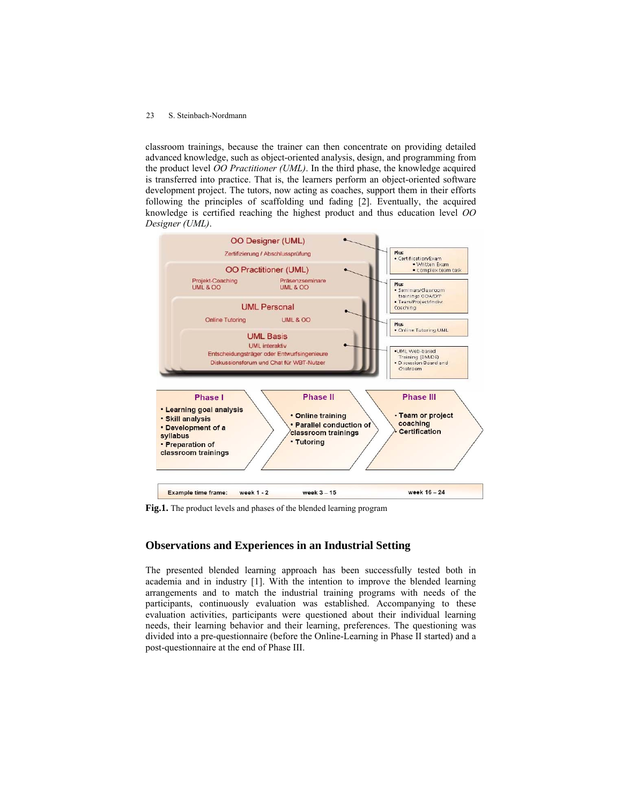#### 23 S. Steinbach-Nordmann

classroom trainings, because the trainer can then concentrate on providing detailed advanced knowledge, such as object-oriented analysis, design, and programming from the product level *OO Practitioner (UML)*. In the third phase, the knowledge acquired is transferred into practice. That is, the learners perform an object-oriented software development project. The tutors, now acting as coaches, support them in their efforts following the principles of scaffolding und fading [2]. Eventually, the acquired knowledge is certified reaching the highest product and thus education level *OO Designer (UML)*.



**Fig.1.** The product levels and phases of the blended learning program

# **Observations and Experiences in an Industrial Setting**

The presented blended learning approach has been successfully tested both in academia and in industry [1]. With the intention to improve the blended learning arrangements and to match the industrial training programs with needs of the participants, continuously evaluation was established. Accompanying to these evaluation activities, participants were questioned about their individual learning needs, their learning behavior and their learning, preferences. The questioning was divided into a pre-questionnaire (before the Online-Learning in Phase II started) and a post-questionnaire at the end of Phase III.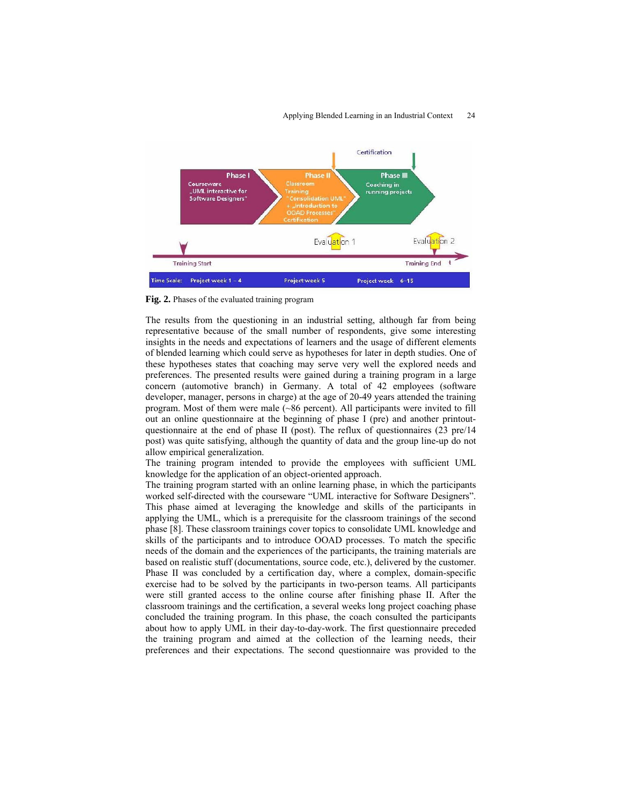#### Applying Blended Learning in an Industrial Context 24



**Fig. 2.** Phases of the evaluated training program

The results from the questioning in an industrial setting, although far from being representative because of the small number of respondents, give some interesting insights in the needs and expectations of learners and the usage of different elements of blended learning which could serve as hypotheses for later in depth studies. One of these hypotheses states that coaching may serve very well the explored needs and preferences. The presented results were gained during a training program in a large concern (automotive branch) in Germany. A total of 42 employees (software developer, manager, persons in charge) at the age of 20-49 years attended the training program. Most of them were male (~86 percent). All participants were invited to fill out an online questionnaire at the beginning of phase I (pre) and another printoutquestionnaire at the end of phase II (post). The reflux of questionnaires (23 pre/14 post) was quite satisfying, although the quantity of data and the group line-up do not allow empirical generalization.

The training program intended to provide the employees with sufficient UML knowledge for the application of an object-oriented approach.

The training program started with an online learning phase, in which the participants worked self-directed with the courseware "UML interactive for Software Designers". This phase aimed at leveraging the knowledge and skills of the participants in applying the UML, which is a prerequisite for the classroom trainings of the second phase [8]. These classroom trainings cover topics to consolidate UML knowledge and skills of the participants and to introduce OOAD processes. To match the specific needs of the domain and the experiences of the participants, the training materials are based on realistic stuff (documentations, source code, etc.), delivered by the customer. Phase II was concluded by a certification day, where a complex, domain-specific exercise had to be solved by the participants in two-person teams. All participants were still granted access to the online course after finishing phase II. After the classroom trainings and the certification, a several weeks long project coaching phase concluded the training program. In this phase, the coach consulted the participants about how to apply UML in their day-to-day-work. The first questionnaire preceded the training program and aimed at the collection of the learning needs, their preferences and their expectations. The second questionnaire was provided to the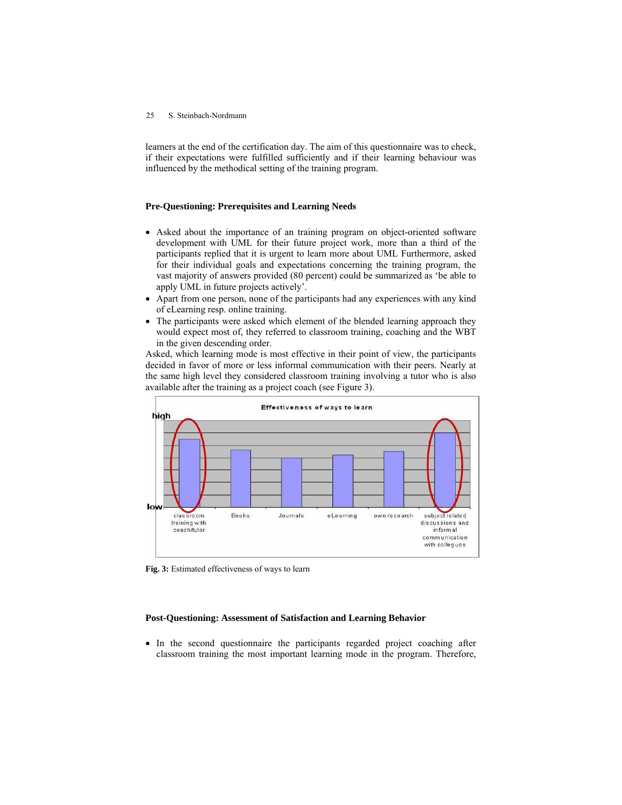#### 25 S. Steinbach-Nordmann

learners at the end of the certification day. The aim of this questionnaire was to check, if their expectations were fulfilled sufficiently and if their learning behaviour was influenced by the methodical setting of the training program.

### **Pre-Questioning: Prerequisites and Learning Needs**

- Asked about the importance of an training program on object-oriented software development with UML for their future project work, more than a third of the participants replied that it is urgent to learn more about UML Furthermore, asked for their individual goals and expectations concerning the training program, the vast majority of answers provided (80 percent) could be summarized as 'be able to apply UML in future projects actively'.
- Apart from one person, none of the participants had any experiences with any kind of eLearning resp. online training.
- The participants were asked which element of the blended learning approach they would expect most of, they referred to classroom training, coaching and the WBT in the given descending order.

Asked, which learning mode is most effective in their point of view, the participants decided in favor of more or less informal communication with their peers. Nearly at the same high level they considered classroom training involving a tutor who is also available after the training as a project coach (see Figure 3).



**Fig. 3:** Estimated effectiveness of ways to learn

### **Post-Questioning: Assessment of Satisfaction and Learning Behavior**

• In the second questionnaire the participants regarded project coaching after classroom training the most important learning mode in the program. Therefore,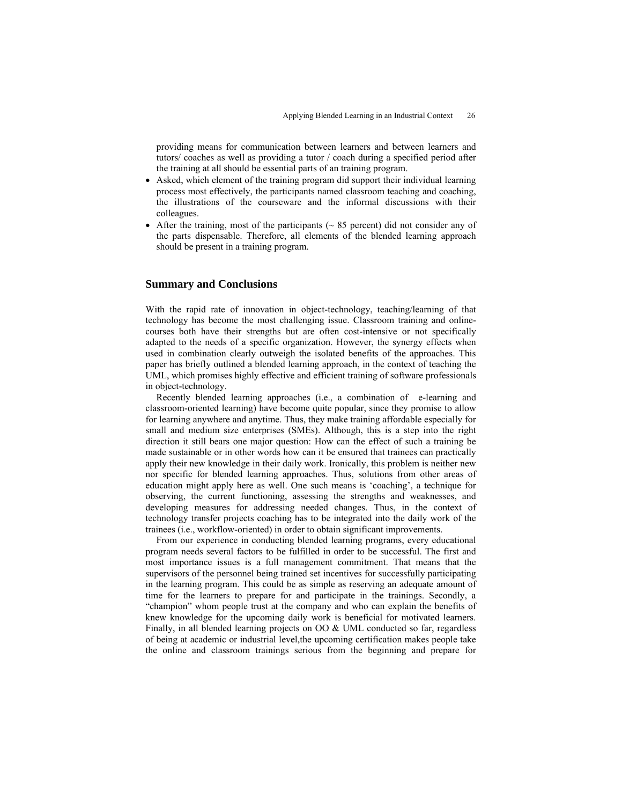providing means for communication between learners and between learners and tutors/ coaches as well as providing a tutor / coach during a specified period after the training at all should be essential parts of an training program.

- Asked, which element of the training program did support their individual learning process most effectively, the participants named classroom teaching and coaching, the illustrations of the courseware and the informal discussions with their colleagues.
- After the training, most of the participants  $($   $\sim$  85 percent) did not consider any of the parts dispensable. Therefore, all elements of the blended learning approach should be present in a training program.

### **Summary and Conclusions**

With the rapid rate of innovation in object-technology, teaching/learning of that technology has become the most challenging issue. Classroom training and onlinecourses both have their strengths but are often cost-intensive or not specifically adapted to the needs of a specific organization. However, the synergy effects when used in combination clearly outweigh the isolated benefits of the approaches. This paper has briefly outlined a blended learning approach, in the context of teaching the UML, which promises highly effective and efficient training of software professionals in object-technology.

Recently blended learning approaches (i.e., a combination of e-learning and classroom-oriented learning) have become quite popular, since they promise to allow for learning anywhere and anytime. Thus, they make training affordable especially for small and medium size enterprises (SMEs). Although, this is a step into the right direction it still bears one major question: How can the effect of such a training be made sustainable or in other words how can it be ensured that trainees can practically apply their new knowledge in their daily work. Ironically, this problem is neither new nor specific for blended learning approaches. Thus, solutions from other areas of education might apply here as well. One such means is 'coaching', a technique for observing, the current functioning, assessing the strengths and weaknesses, and developing measures for addressing needed changes. Thus, in the context of technology transfer projects coaching has to be integrated into the daily work of the trainees (i.e., workflow-oriented) in order to obtain significant improvements.

From our experience in conducting blended learning programs, every educational program needs several factors to be fulfilled in order to be successful. The first and most importance issues is a full management commitment. That means that the supervisors of the personnel being trained set incentives for successfully participating in the learning program. This could be as simple as reserving an adequate amount of time for the learners to prepare for and participate in the trainings. Secondly, a "champion" whom people trust at the company and who can explain the benefits of knew knowledge for the upcoming daily work is beneficial for motivated learners. Finally, in all blended learning projects on OO & UML conducted so far, regardless of being at academic or industrial level,the upcoming certification makes people take the online and classroom trainings serious from the beginning and prepare for